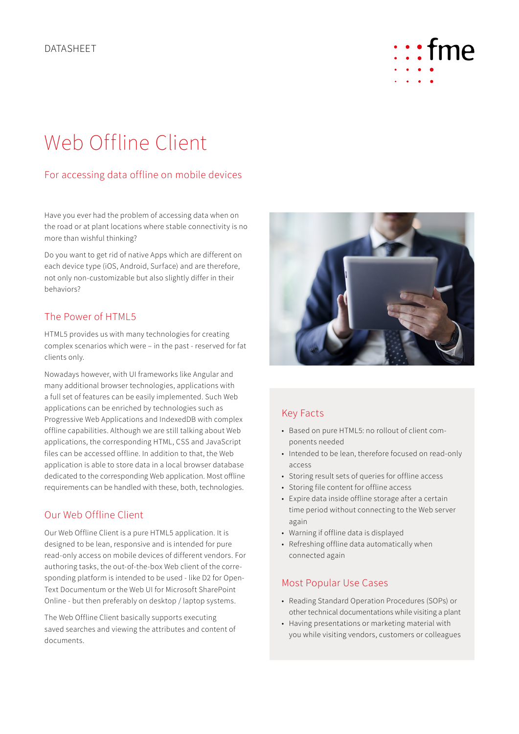# $:$ fme

## Web Offline Client

### For accessing data offline on mobile devices

Have you ever had the problem of accessing data when on the road or at plant locations where stable connectivity is no more than wishful thinking?

Do you want to get rid of native Apps which are different on each device type (iOS, Android, Surface) and are therefore, not only non-customizable but also slightly differ in their behaviors?

#### The Power of HTML5

HTML5 provides us with many technologies for creating complex scenarios which were – in the past - reserved for fat clients only.

Nowadays however, with UI frameworks like Angular and many additional browser technologies, applications with a full set of features can be easily implemented. Such Web applications can be enriched by technologies such as Progressive Web Applications and IndexedDB with complex offline capabilities. Although we are still talking about Web applications, the corresponding HTML, CSS and JavaScript files can be accessed offline. In addition to that, the Web application is able to store data in a local browser database dedicated to the corresponding Web application. Most offline requirements can be handled with these, both, technologies.

#### Our Web Offline Client

Our Web Offline Client is a pure HTML5 application. It is designed to be lean, responsive and is intended for pure read-only access on mobile devices of different vendors. For authoring tasks, the out-of-the-box Web client of the corresponding platform is intended to be used - like D2 for Open-Text Documentum or the Web UI for Microsoft SharePoint Online - but then preferably on desktop / laptop systems.

The Web Offline Client basically supports executing saved searches and viewing the attributes and content of documents.



#### Key Facts

- Based on pure HTML5: no rollout of client components needed
- Intended to be lean, therefore focused on read-only access
- Storing result sets of queries for offline access
- Storing file content for offline access
- Expire data inside offline storage after a certain time period without connecting to the Web server again
- Warning if offline data is displayed
- Refreshing offline data automatically when connected again

#### Most Popular Use Cases

- Reading Standard Operation Procedures (SOPs) or other technical documentations while visiting a plant
- Having presentations or marketing material with you while visiting vendors, customers or colleagues